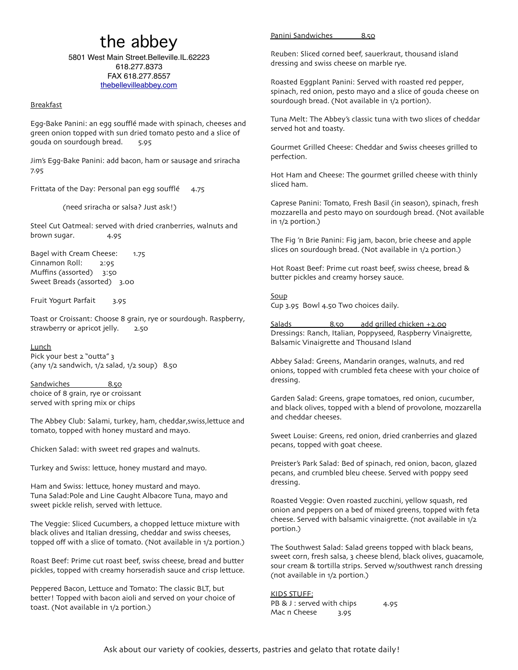## the abbey

5801 West Main Street.Belleville.IL.62223 618.277.8373 FAX 618.277.8557 [thebellevilleabbey.com](http://thebellevilleabbey.com)

## Breakfast

Egg-Bake Panini: an egg soufflé made with spinach, cheeses and green onion topped with sun dried tomato pesto and a slice of gouda on sourdough bread. 5.95

Jim's Egg-Bake Panini: add bacon, ham or sausage and sriracha 7.95

Frittata of the Day: Personal pan egg soufflé 4.75

(need sriracha or salsa? Just ask!)

Steel Cut Oatmeal: served with dried cranberries, walnuts and brown sugar. 4.95

Bagel with Cream Cheese: 1.75 Cinnamon Roll: 2:95 Muffins (assorted) 3:50 Sweet Breads (assorted) 3.00

Fruit Yogurt Parfait 3.95

Toast or Croissant: Choose 8 grain, rye or sourdough. Raspberry, strawberry or apricot jelly. 2.50

**Lunch** Pick your best 2 "outta" 3 (any 1/2 sandwich, 1/2 salad, 1/2 soup) 8.50

Sandwiches 8.50 choice of 8 grain, rye or croissant served with spring mix or chips

The Abbey Club: Salami, turkey, ham, cheddar,swiss,lettuce and tomato, topped with honey mustard and mayo.

Chicken Salad: with sweet red grapes and walnuts.

Turkey and Swiss: lettuce, honey mustard and mayo.

Ham and Swiss: lettuce, honey mustard and mayo. Tuna Salad:Pole and Line Caught Albacore Tuna, mayo and sweet pickle relish, served with lettuce.

The Veggie: Sliced Cucumbers, a chopped lettuce mixture with black olives and Italian dressing, cheddar and swiss cheeses, topped off with a slice of tomato. (Not available in 1/2 portion.)

Roast Beef: Prime cut roast beef, swiss cheese, bread and butter pickles, topped with creamy horseradish sauce and crisp lettuce.

Peppered Bacon, Lettuce and Tomato: The classic BLT, but better! Topped with bacon aioli and served on your choice of toast. (Not available in 1/2 portion.)

## Panini Sandwiches 8.50

Reuben: Sliced corned beef, sauerkraut, thousand island dressing and swiss cheese on marble rye.

Roasted Eggplant Panini: Served with roasted red pepper, spinach, red onion, pesto mayo and a slice of gouda cheese on sourdough bread. (Not available in 1/2 portion).

Tuna Melt: The Abbey's classic tuna with two slices of cheddar served hot and toasty.

Gourmet Grilled Cheese: Cheddar and Swiss cheeses grilled to perfection.

Hot Ham and Cheese: The gourmet grilled cheese with thinly sliced ham.

Caprese Panini: Tomato, Fresh Basil (in season), spinach, fresh mozzarella and pesto mayo on sourdough bread. (Not available in 1/2 portion.)

The Fig 'n Brie Panini: Fig jam, bacon, brie cheese and apple slices on sourdough bread. (Not available in 1/2 portion.)

Hot Roast Beef: Prime cut roast beef, swiss cheese, bread & butter pickles and creamy horsey sauce.

Soup Cup 3.95 Bowl 4.50 Two choices daily.

Salads 8.50 add grilled chicken +2.00 Dressings: Ranch, Italian, Poppyseed, Raspberry Vinaigrette, Balsamic Vinaigrette and Thousand Island

Abbey Salad: Greens, Mandarin oranges, walnuts, and red onions, topped with crumbled feta cheese with your choice of dressing.

Garden Salad: Greens, grape tomatoes, red onion, cucumber, and black olives, topped with a blend of provolone, mozzarella and cheddar cheeses.

Sweet Louise: Greens, red onion, dried cranberries and glazed pecans, topped with goat cheese.

Preister's Park Salad: Bed of spinach, red onion, bacon, glazed pecans, and crumbled bleu cheese. Served with poppy seed dressing.

Roasted Veggie: Oven roasted zucchini, yellow squash, red onion and peppers on a bed of mixed greens, topped with feta cheese. Served with balsamic vinaigrette. (not available in 1/2 portion.)

The Southwest Salad: Salad greens topped with black beans, sweet corn, fresh salsa, 3 cheese blend, black olives, guacamole, sour cream & tortilla strips. Served w/southwest ranch dressing (not available in 1/2 portion.)

## KIDS STUFF:

PB & J : served with chips 4.95 Mac n Cheese 3.95